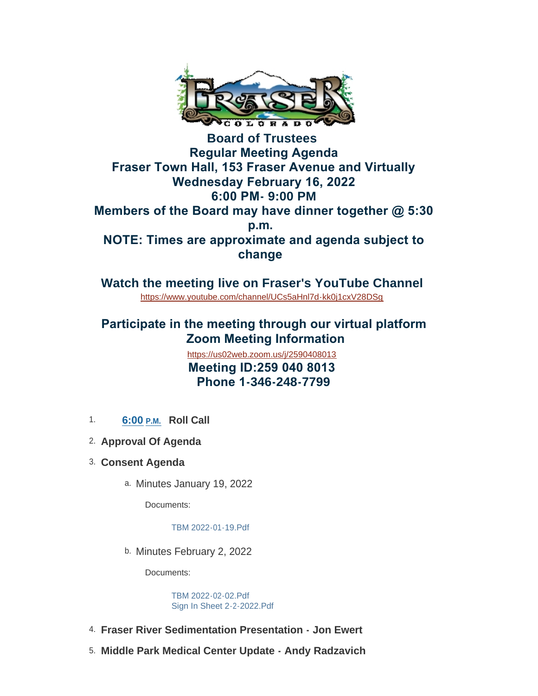

**Board of Trustees Regular Meeting Agenda Fraser Town Hall, 153 Fraser Avenue and Virtually Wednesday February 16, 2022 6:00 PM- 9:00 PM Members of the Board may have dinner together @ 5:30 p.m. NOTE: Times are approximate and agenda subject to change** 

**Watch the meeting live on Fraser's YouTube Channel** <https://www.youtube.com/channel/UCs5aHnl7d-kk0j1cxV28DSg>

## **Participate in the meeting through our virtual platform Zoom Meeting Information**

 **Meeting ID:259 040 8013 Phone 1-346-248-7799** <https://us02web.zoom.us/j/2590408013>

- 1. **6:00 P.M. Roll Call**
- **Approval Of Agenda** 2.
- **Consent Agenda** 3.
	- a. Minutes January 19, 2022

Documents:

[TBM 2022-01-19.Pdf](https://www.frasercolorado.com/AgendaCenter/ViewFile/Item/3829?fileID=3439)

b. Minutes February 2, 2022

Documents:

[TBM 2022-02-02.Pdf](https://www.frasercolorado.com/AgendaCenter/ViewFile/Item/3841?fileID=3441) [Sign In Sheet 2-2-2022.Pdf](https://www.frasercolorado.com/AgendaCenter/ViewFile/Item/3841?fileID=3442)

- **Fraser River Sedimentation Presentation Jon Ewert** 4.
- **Middle Park Medical Center Update Andy Radzavich** 5.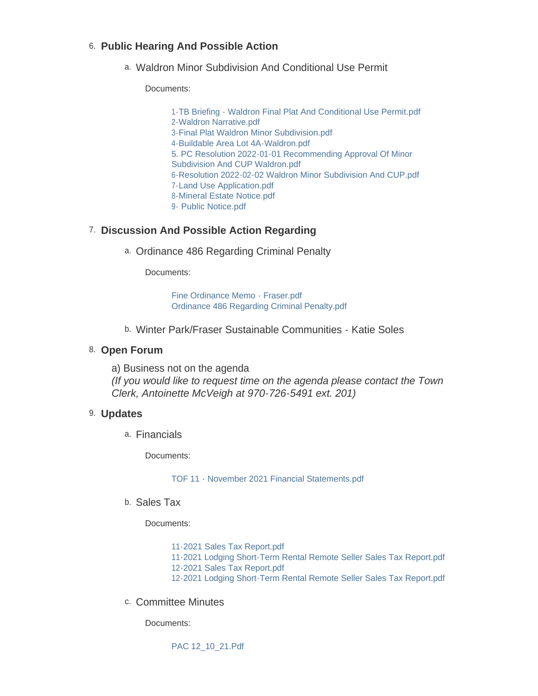### **Public Hearing And Possible Action** 6.

Waldron Minor Subdivision And Conditional Use Permit a.

Documents:

[1-TB Briefing - Waldron Final Plat And Conditional Use Permit.pdf](https://www.frasercolorado.com/AgendaCenter/ViewFile/Item/3826?fileID=3424) [2-Waldron Narrative.pdf](https://www.frasercolorado.com/AgendaCenter/ViewFile/Item/3826?fileID=3425) [3-Final Plat Waldron Minor Subdivision.pdf](https://www.frasercolorado.com/AgendaCenter/ViewFile/Item/3826?fileID=3426) [4-Buildable Area Lot 4A-Waldron.pdf](https://www.frasercolorado.com/AgendaCenter/ViewFile/Item/3826?fileID=3427) [5. PC Resolution 2022-01-01 Recommending Approval Of Minor](https://www.frasercolorado.com/AgendaCenter/ViewFile/Item/3826?fileID=3437)  Subdivision And CUP Waldron.pdf [6-Resolution 2022-02-02 Waldron Minor Subdivision And CUP.pdf](https://www.frasercolorado.com/AgendaCenter/ViewFile/Item/3826?fileID=3429) [7-Land Use Application.pdf](https://www.frasercolorado.com/AgendaCenter/ViewFile/Item/3826?fileID=3430) [8-Mineral Estate Notice.pdf](https://www.frasercolorado.com/AgendaCenter/ViewFile/Item/3826?fileID=3431) [9- Public Notice.pdf](https://www.frasercolorado.com/AgendaCenter/ViewFile/Item/3826?fileID=3432)

### **Discussion And Possible Action Regarding** 7.

Ordinance 486 Regarding Criminal Penalty a.

Documents:

[Fine Ordinance Memo - Fraser.pdf](https://www.frasercolorado.com/AgendaCenter/ViewFile/Item/3825?fileID=3423) [Ordinance 486 Regarding Criminal Penalty.pdf](https://www.frasercolorado.com/AgendaCenter/ViewFile/Item/3825?fileID=3422)

Winter Park/Fraser Sustainable Communities - Katie Soles b.

#### 8. Open Forum

a) Business not on the agenda *(If you would like to request time on the agenda please contact the Town Clerk, Antoinette McVeigh at 970-726-5491 ext. 201)*

#### **Updates** 9.

Financials a.

Documents:

[TOF 11 - November 2021 Financial Statements.pdf](https://www.frasercolorado.com/AgendaCenter/ViewFile/Item/3820?fileID=3418)

<sup>b.</sup> Sales Tax

Documents:

- [11-2021 Sales Tax Report.pdf](https://www.frasercolorado.com/AgendaCenter/ViewFile/Item/3827?fileID=3434)
- [11-2021 Lodging Short-Term Rental Remote Seller Sales Tax Report.pdf](https://www.frasercolorado.com/AgendaCenter/ViewFile/Item/3827?fileID=3433)
- [12-2021 Sales Tax Report.pdf](https://www.frasercolorado.com/AgendaCenter/ViewFile/Item/3827?fileID=3436)
- [12-2021 Lodging Short-Term Rental Remote Seller Sales Tax Report.pdf](https://www.frasercolorado.com/AgendaCenter/ViewFile/Item/3827?fileID=3435)
- c. Committee Minutes

Documents:

[PAC 12\\_10\\_21.Pdf](https://www.frasercolorado.com/AgendaCenter/ViewFile/Item/3824?fileID=3420)